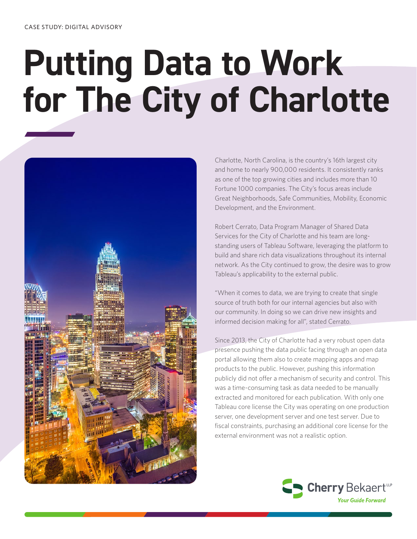# **Putting Data to Work for The City of Charlotte**



Charlotte, North Carolina, is the country's 16th largest city and home to nearly 900,000 residents. It consistently ranks as one of the top growing cities and includes more than 10 Fortune 1000 companies. The City's focus areas include Great Neighborhoods, Safe Communities, Mobility, Economic Development, and the Environment.

Robert Cerrato, Data Program Manager of Shared Data Services for the City of Charlotte and his team are longstanding users of Tableau Software, leveraging the platform to build and share rich data visualizations throughout its internal network. As the City continued to grow, the desire was to grow Tableau's applicability to the external public.

"When it comes to data, we are trying to create that single source of truth both for our internal agencies but also with our community. In doing so we can drive new insights and informed decision making for all", stated Cerrato.

Since 2013, the City of Charlotte had a very robust open data presence pushing the data public facing through an open data portal allowing them also to create mapping apps and map products to the public. However, pushing this information publicly did not offer a mechanism of security and control. This was a time-consuming task as data needed to be manually extracted and monitored for each publication. With only one Tableau core license the City was operating on one production server, one development server and one test server. Due to fiscal constraints, purchasing an additional core license for the external environment was not a realistic option.